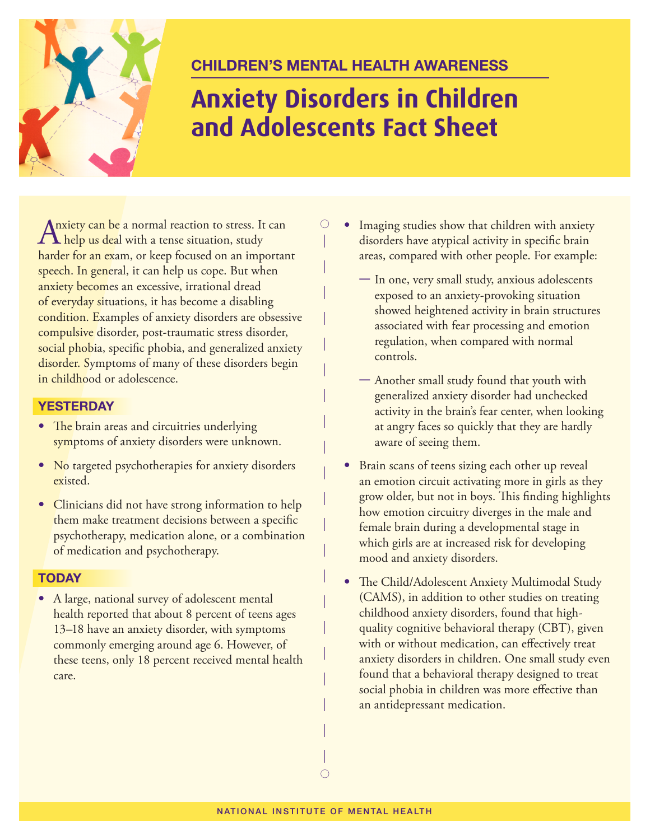

## **Children's Mental health awareness**

# **Anxiety Disorders in Children and Adolescents Fact Sheet**

 $\bigcirc$ 

Anxiety can be a normal reaction to stress. It can<br>help us deal with a tense situation, study harder for an exam, or keep focused on an important speech. In general, it can help us cope. But when anxiety becomes an excessive, irrational dread of everyday situations, it has become a disabling condition. Examples of anxiety disorders are obsessive compulsive disorder, post-traumatic stress disorder, social phobia, specific phobia, and generalized anxiety disorder. Symptoms of many of these disorders begin in childhood or adolescence.

### **YesterdaY**

- The brain areas and circuitries underlying symptoms of anxiety disorders were unknown.
- No targeted psychotherapies for anxiety disorders existed.
- Clinicians did not have strong information to help them make treatment decisions between a specific psychotherapy, medication alone, or a combination of medication and psychotherapy.

#### **todaY**

• A large, national survey of adolescent mental health reported that about 8 percent of teens ages 13–18 have an anxiety disorder, with symptoms commonly emerging around age 6. However, of these teens, only 18 percent received mental health care.

- Imaging studies show that children with anxiety disorders have atypical activity in specific brain areas, compared with other people. For example:
	- In one, very small study, anxious adolescents exposed to an anxiety-provoking situation showed heightened activity in brain structures associated with fear processing and emotion regulation, when compared with normal controls.
	- Another small study found that youth with generalized anxiety disorder had unchecked activity in the brain's fear center, when looking at angry faces so quickly that they are hardly aware of seeing them.
	- Brain scans of teens sizing each other up reveal an emotion circuit activating more in girls as they grow older, but not in boys. This finding highlights how emotion circuitry diverges in the male and female brain during a developmental stage in which girls are at increased risk for developing mood and anxiety disorders.
	- The Child/Adolescent Anxiety Multimodal Study (CAMS), in addition to other studies on treating childhood anxiety disorders, found that highquality cognitive behavioral therapy (CBT), given with or without medication, can effectively treat anxiety disorders in children. One small study even found that a behavioral therapy designed to treat social phobia in children was more effective than an antidepressant medication.

 $\bigcirc$